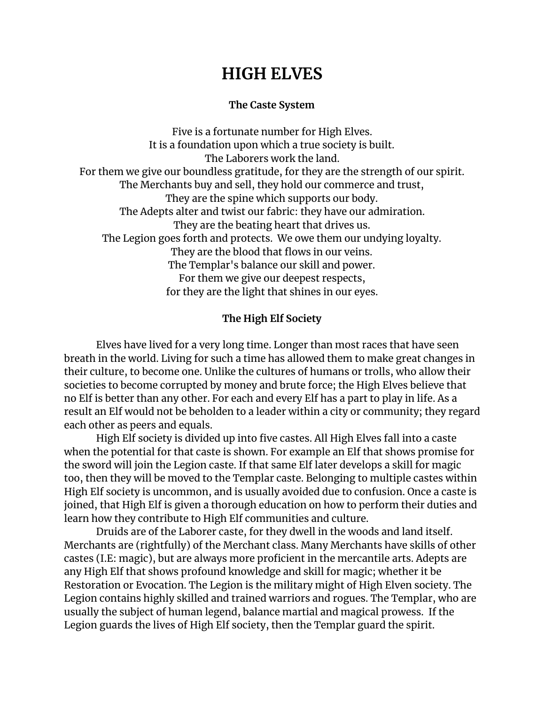# **HIGH ELVES**

## **The Caste System**

Five is a fortunate number for High Elves. It is a foundation upon which a true society is built. The Laborers work the land. For them we give our boundless gratitude, for they are the strength of our spirit. The Merchants buy and sell, they hold our commerce and trust, They are the spine which supports our body. The Adepts alter and twist our fabric: they have our admiration. They are the beating heart that drives us. The Legion goes forth and protects. We owe them our undying loyalty. They are the blood that flows in our veins. The Templar's balance our skill and power. For them we give our deepest respects, for they are the light that shines in our eyes.

# **The High Elf Society**

Elves have lived for a very long time. Longer than most races that have seen breath in the world. Living for such a time has allowed them to make great changes in their culture, to become one. Unlike the cultures of humans or trolls, who allow their societies to become corrupted by money and brute force; the High Elves believe that no Elf is better than any other. For each and every Elf has a part to play in life. As a result an Elf would not be beholden to a leader within a city or community; they regard each other as peers and equals.

High Elf society is divided up into five castes. All High Elves fall into a caste when the potential for that caste is shown. For example an Elf that shows promise for the sword will join the Legion caste. If that same Elf later develops a skill for magic too, then they will be moved to the Templar caste. Belonging to multiple castes within High Elf society is uncommon, and is usually avoided due to confusion. Once a caste is joined, that High Elf is given a thorough education on how to perform their duties and learn how they contribute to High Elf communities and culture.

Druids are of the Laborer caste, for they dwell in the woods and land itself. Merchants are (rightfully) of the Merchant class. Many Merchants have skills of other castes (I.E: magic), but are always more proficient in the mercantile arts. Adepts are any High Elf that shows profound knowledge and skill for magic; whether it be Restoration or Evocation. The Legion is the military might of High Elven society. The Legion contains highly skilled and trained warriors and rogues. The Templar, who are usually the subject of human legend, balance martial and magical prowess. If the Legion guards the lives of High Elf society, then the Templar guard the spirit.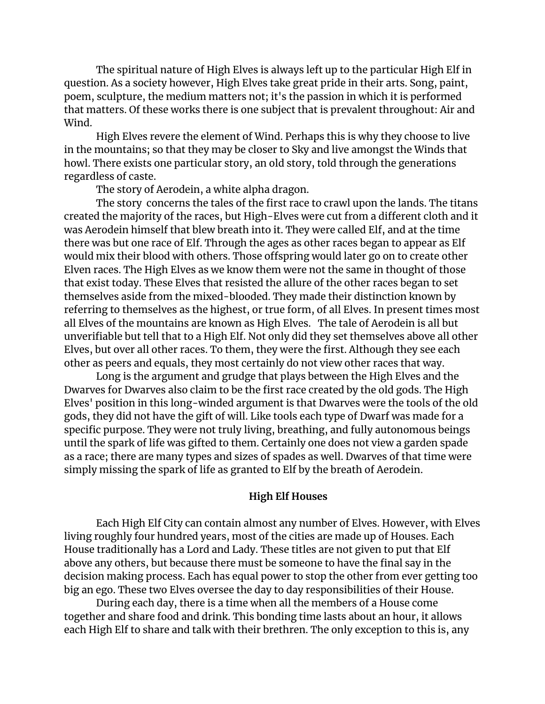The spiritual nature of High Elves is always left up to the particular High Elf in question. As a society however, High Elves take great pride in their arts. Song, paint, poem, sculpture, the medium matters not; it's the passion in which it is performed that matters. Of these works there is one subject that is prevalent throughout: Air and Wind.

High Elves revere the element of Wind. Perhaps this is why they choose to live in the mountains; so that they may be closer to Sky and live amongst the Winds that howl. There exists one particular story, an old story, told through the generations regardless of caste.

The story of Aerodein, a white alpha dragon.

The story concerns the tales of the first race to crawl upon the lands. The titans created the majority of the races, but High-Elves were cut from a different cloth and it was Aerodein himself that blew breath into it. They were called Elf, and at the time there was but one race of Elf. Through the ages as other races began to appear as Elf would mix their blood with others. Those offspring would later go on to create other Elven races. The High Elves as we know them were not the same in thought of those that exist today. These Elves that resisted the allure of the other races began to set themselves aside from the mixed-blooded. They made their distinction known by referring to themselves as the highest, or true form, of all Elves. In present times most all Elves of the mountains are known as High Elves. The tale of Aerodein is all but unverifiable but tell that to a High Elf. Not only did they set themselves above all other Elves, but over all other races. To them, they were the first. Although they see each other as peers and equals, they most certainly do not view other races that way.

Long is the argument and grudge that plays between the High Elves and the Dwarves for Dwarves also claim to be the first race created by the old gods. The High Elves' position in this long-winded argument is that Dwarves were the tools of the old gods, they did not have the gift of will. Like tools each type of Dwarf was made for a specific purpose. They were not truly living, breathing, and fully autonomous beings until the spark of life was gifted to them. Certainly one does not view a garden spade as a race; there are many types and sizes of spades as well. Dwarves of that time were simply missing the spark of life as granted to Elf by the breath of Aerodein.

#### **High Elf Houses**

Each High Elf City can contain almost any number of Elves. However, with Elves living roughly four hundred years, most of the cities are made up of Houses. Each House traditionally has a Lord and Lady. These titles are not given to put that Elf above any others, but because there must be someone to have the final say in the decision making process. Each has equal power to stop the other from ever getting too big an ego. These two Elves oversee the day to day responsibilities of their House.

During each day, there is a time when all the members of a House come together and share food and drink. This bonding time lasts about an hour, it allows each High Elf to share and talk with their brethren. The only exception to this is, any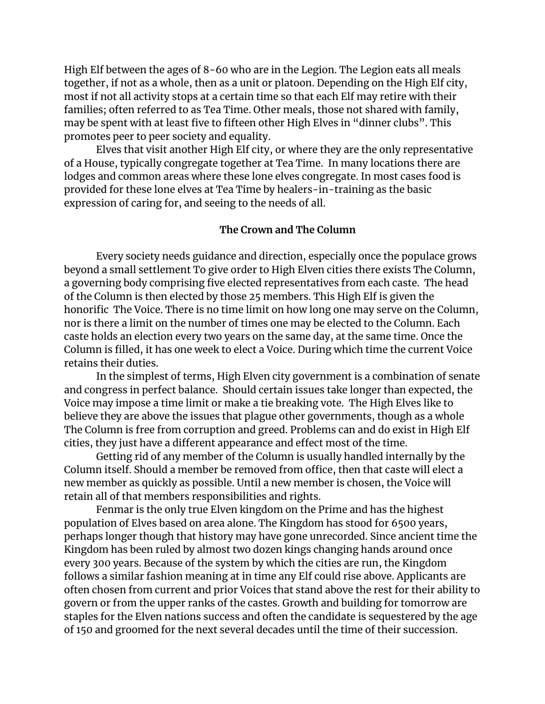High Elf between the ages of 8-60 who are in the Legion. The Legion eats all meals together, if not as a whole, then as a unit or platoon. Depending on the High Elf city, most if not all activity stops at a certain time so that each Elf may retire with their families; often referred to as Tea Time. Other meals, those not shared with family, may be spent with at least five to fifteen other High Elves in "dinner clubs". This promotes peer to peer society and equality.

Elves that visit another High Elf city, or where they are the only representative of a House, typically congregate together at Tea Time. In many locations there are lodges and common areas where these lone elves congregate. In most cases food is provided for these lone elves at Tea Time by healers-in-training as the basic expression of caring for, and seeing to the needs of all.

## **The Crown and The Column**

Every society needs guidance and direction, especially once the populace grows beyond a small settlement To give order to High Elven cities there exists The Column, a governing body comprising five elected representatives from each caste. The head of the Column is then elected by those 25 members. This High Elf is given the honorific The Voice. There is no time limit on how long one may serve on the Column, nor is there a limit on the number of times one may be elected to the Column. Each caste holds an election every two years on the same day, at the same time. Once the Column is filled, it has one week to elect a Voice. During which time the current Voice retains their duties.

In the simplest of terms, High Elven city government is a combination of senate and congress in perfect balance. Should certain issues take longer than expected, the Voice may impose a time limit or make a tie breaking vote. The High Elves like to believe they are above the issues that plague other governments, though as a whole The Column is free from corruption and greed. Problems can and do exist in High Elf cities, they just have a different appearance and effect most of the time.

Getting rid of any member of the Column is usually handled internally by the Column itself. Should a member be removed from office, then that caste will elect a new member as quickly as possible. Until a new member is chosen, the Voice will retain all of that members responsibilities and rights.

Fenmar is the only true Elven kingdom on the Prime and has the highest population of Elves based on area alone. The Kingdom has stood for 6500 years, perhaps longer though that history may have gone unrecorded. Since ancient time the Kingdom has been ruled by almost two dozen kings changing hands around once every 300 years. Because of the system by which the cities are run, the Kingdom follows a similar fashion meaning at in time any Elf could rise above. Applicants are often chosen from current and prior Voices that stand above the rest for their ability to govern or from the upper ranks of the castes. Growth and building for tomorrow are staples for the Elven nations success and often the candidate is sequestered by the age of 150 and groomed for the next several decades until the time of their succession.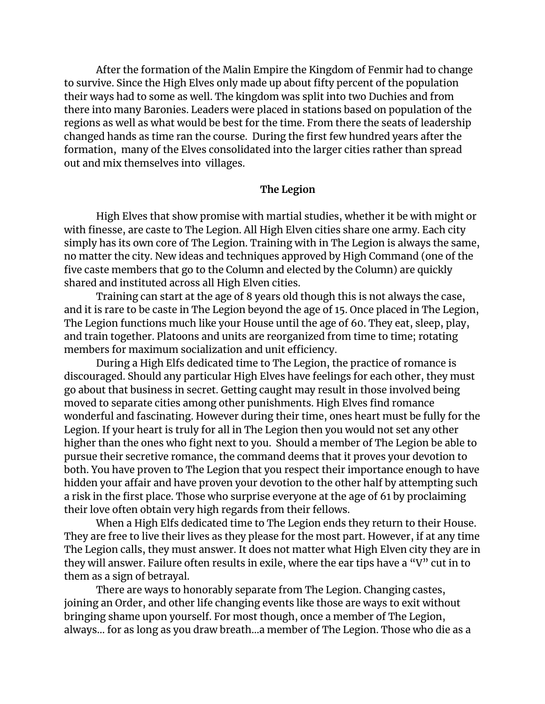After the formation of the Malin Empire the Kingdom of Fenmir had to change to survive. Since the High Elves only made up about fifty percent of the population their ways had to some as well. The kingdom was split into two Duchies and from there into many Baronies. Leaders were placed in stations based on population of the regions as well as what would be best for the time. From there the seats of leadership changed hands as time ran the course. During the first few hundred years after the formation, many of the Elves consolidated into the larger cities rather than spread out and mix themselves into villages.

#### **The Legion**

High Elves that show promise with martial studies, whether it be with might or with finesse, are caste to The Legion. All High Elven cities share one army. Each city simply has its own core of The Legion. Training with in The Legion is always the same, no matter the city. New ideas and techniques approved by High Command (one of the five caste members that go to the Column and elected by the Column) are quickly shared and instituted across all High Elven cities.

Training can start at the age of 8 years old though this is not always the case, and it is rare to be caste in The Legion beyond the age of 15. Once placed in The Legion, The Legion functions much like your House until the age of 60. They eat, sleep, play, and train together. Platoons and units are reorganized from time to time; rotating members for maximum socialization and unit efficiency.

During a High Elfs dedicated time to The Legion, the practice of romance is discouraged. Should any particular High Elves have feelings for each other, they must go about that business in secret. Getting caught may result in those involved being moved to separate cities among other punishments. High Elves find romance wonderful and fascinating. However during their time, ones heart must be fully for the Legion. If your heart is truly for all in The Legion then you would not set any other higher than the ones who fight next to you. Should a member of The Legion be able to pursue their secretive romance, the command deems that it proves your devotion to both. You have proven to The Legion that you respect their importance enough to have hidden your affair and have proven your devotion to the other half by attempting such a risk in the first place. Those who surprise everyone at the age of 61 by proclaiming their love often obtain very high regards from their fellows.

When a High Elfs dedicated time to The Legion ends they return to their House. They are free to live their lives as they please for the most part. However, if at any time The Legion calls, they must answer. It does not matter what High Elven city they are in they will answer. Failure often results in exile, where the ear tips have a "V" cut in to them as a sign of betrayal.

There are ways to honorably separate from The Legion. Changing castes, joining an Order, and other life changing events like those are ways to exit without bringing shame upon yourself. For most though, once a member of The Legion, always... for as long as you draw breath...a member of The Legion. Those who die as a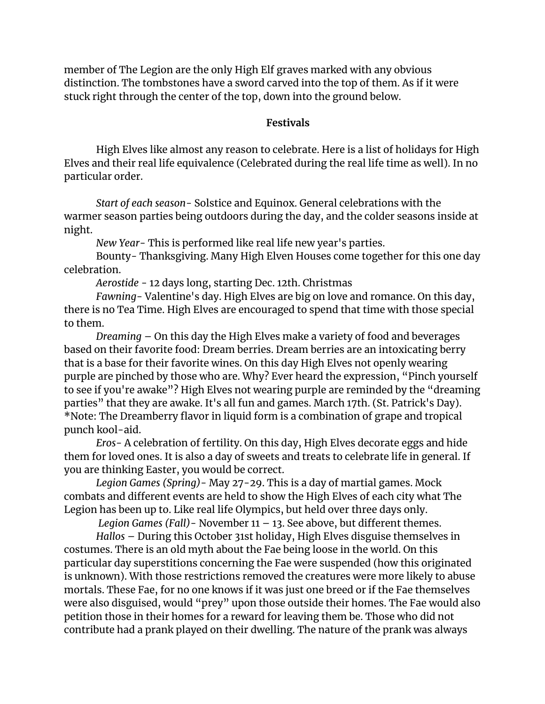member of The Legion are the only High Elf graves marked with any obvious distinction. The tombstones have a sword carved into the top of them. As if it were stuck right through the center of the top, down into the ground below.

## **Festivals**

High Elves like almost any reason to celebrate. Here is a list of holidays for High Elves and their real life equivalence (Celebrated during the real life time as well). In no particular order.

*Start of each season*- Solstice and Equinox. General celebrations with the warmer season parties being outdoors during the day, and the colder seasons inside at night.

*New Year*- This is performed like real life new year's parties.

Bounty- Thanksgiving. Many High Elven Houses come together for this one day celebration.

*Aerostide* - 12 days long, starting Dec. 12th. Christmas

*Fawning-* Valentine's day. High Elves are big on love and romance. On this day, there is no Tea Time. High Elves are encouraged to spend that time with those special to them.

*Dreaming* – On this day the High Elves make a variety of food and beverages based on their favorite food: Dream berries. Dream berries are an intoxicating berry that is a base for their favorite wines. On this day High Elves not openly wearing purple are pinched by those who are. Why? Ever heard the expression, "Pinch yourself to see if you're awake"? High Elves not wearing purple are reminded by the "dreaming parties" that they are awake. It's all fun and games. March 17th. (St. Patrick's Day). \*Note: The Dreamberry flavor in liquid form is a combination of grape and tropical punch kool-aid.

*Eros-* A celebration of fertility. On this day, High Elves decorate eggs and hide them for loved ones. It is also a day of sweets and treats to celebrate life in general. If you are thinking Easter, you would be correct.

*Legion Games (Spring)*- May 27-29. This is a day of martial games. Mock combats and different events are held to show the High Elves of each city what The Legion has been up to. Like real life Olympics, but held over three days only.

*Legion Games (Fall)*- November 11 – 13. See above, but different themes.

*Hallos* – During this October 31st holiday, High Elves disguise themselves in costumes. There is an old myth about the Fae being loose in the world. On this particular day superstitions concerning the Fae were suspended (how this originated is unknown). With those restrictions removed the creatures were more likely to abuse mortals. These Fae, for no one knows if it was just one breed or if the Fae themselves were also disguised, would "prey" upon those outside their homes. The Fae would also petition those in their homes for a reward for leaving them be. Those who did not contribute had a prank played on their dwelling. The nature of the prank was always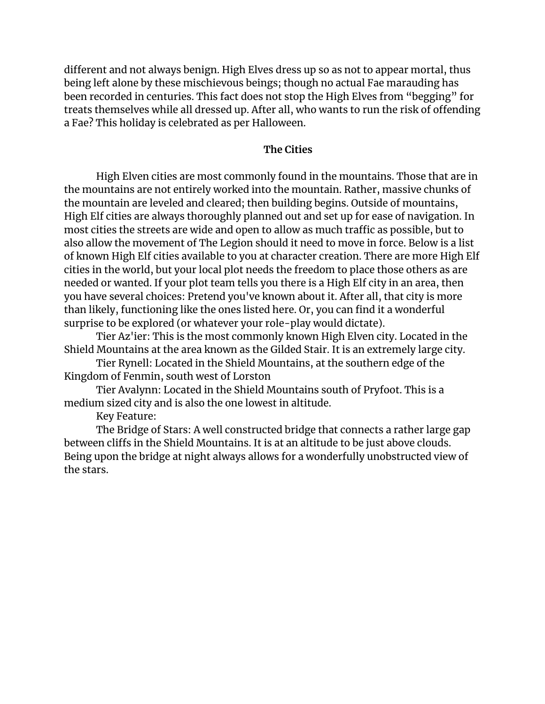different and not always benign. High Elves dress up so as not to appear mortal, thus being left alone by these mischievous beings; though no actual Fae marauding has been recorded in centuries. This fact does not stop the High Elves from "begging" for treats themselves while all dressed up. After all, who wants to run the risk of offending a Fae? This holiday is celebrated as per Halloween.

## **The Cities**

High Elven cities are most commonly found in the mountains. Those that are in the mountains are not entirely worked into the mountain. Rather, massive chunks of the mountain are leveled and cleared; then building begins. Outside of mountains, High Elf cities are always thoroughly planned out and set up for ease of navigation. In most cities the streets are wide and open to allow as much traffic as possible, but to also allow the movement of The Legion should it need to move in force. Below is a list of known High Elf cities available to you at character creation. There are more High Elf cities in the world, but your local plot needs the freedom to place those others as are needed or wanted. If your plot team tells you there is a High Elf city in an area, then you have several choices: Pretend you've known about it. After all, that city is more than likely, functioning like the ones listed here. Or, you can find it a wonderful surprise to be explored (or whatever your role-play would dictate).

Tier Az'ier: This is the most commonly known High Elven city. Located in the Shield Mountains at the area known as the Gilded Stair. It is an extremely large city.

Tier Rynell: Located in the Shield Mountains, at the southern edge of the Kingdom of Fenmin, south west of Lorston

Tier Avalynn: Located in the Shield Mountains south of Pryfoot. This is a medium sized city and is also the one lowest in altitude.

Key Feature:

The Bridge of Stars: A well constructed bridge that connects a rather large gap between cliffs in the Shield Mountains. It is at an altitude to be just above clouds. Being upon the bridge at night always allows for a wonderfully unobstructed view of the stars.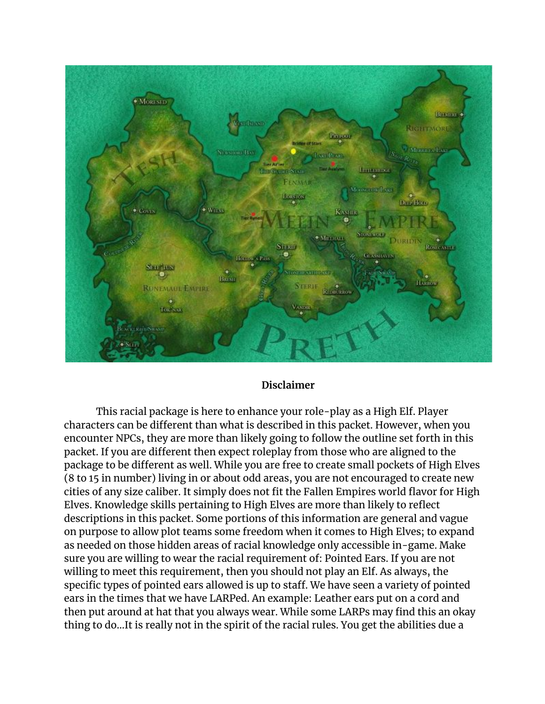

## **Disclaimer**

This racial package is here to enhance your role-play as a High Elf. Player characters can be different than what is described in this packet. However, when you encounter NPCs, they are more than likely going to follow the outline set forth in this packet. If you are different then expect roleplay from those who are aligned to the package to be different as well. While you are free to create small pockets of High Elves (8 to 15 in number) living in or about odd areas, you are not encouraged to create new cities of any size caliber. It simply does not fit the Fallen Empires world flavor for High Elves. Knowledge skills pertaining to High Elves are more than likely to reflect descriptions in this packet. Some portions of this information are general and vague on purpose to allow plot teams some freedom when it comes to High Elves; to expand as needed on those hidden areas of racial knowledge only accessible in-game. Make sure you are willing to wear the racial requirement of: Pointed Ears. If you are not willing to meet this requirement, then you should not play an Elf. As always, the specific types of pointed ears allowed is up to staff. We have seen a variety of pointed ears in the times that we have LARPed. An example: Leather ears put on a cord and then put around at hat that you always wear. While some LARPs may find this an okay thing to do...It is really not in the spirit of the racial rules. You get the abilities due a